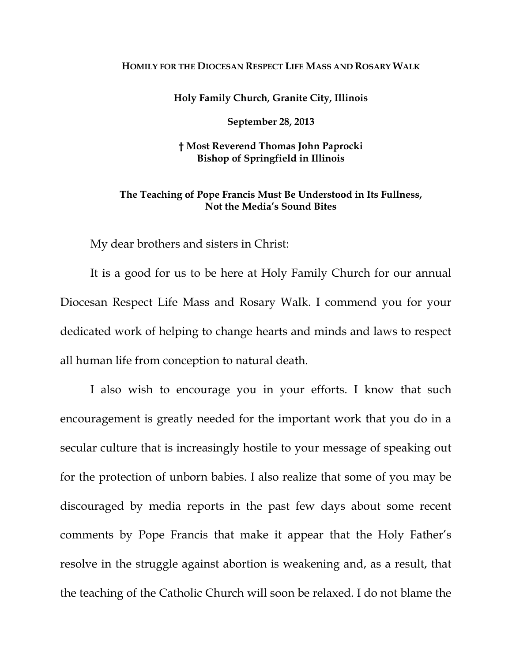## **HOMILY FOR THE DIOCESAN RESPECT LIFE MASS AND ROSARY WALK**

**Holy Family Church, Granite City, Illinois**

**September 28, 2013** 

## **† Most Reverend Thomas John Paprocki Bishop of Springfield in Illinois**

## **The Teaching of Pope Francis Must Be Understood in Its Fullness, Not the Media's Sound Bites**

My dear brothers and sisters in Christ:

It is a good for us to be here at Holy Family Church for our annual Diocesan Respect Life Mass and Rosary Walk. I commend you for your dedicated work of helping to change hearts and minds and laws to respect all human life from conception to natural death.

I also wish to encourage you in your efforts. I know that such encouragement is greatly needed for the important work that you do in a secular culture that is increasingly hostile to your message of speaking out for the protection of unborn babies. I also realize that some of you may be discouraged by media reports in the past few days about some recent comments by Pope Francis that make it appear that the Holy Father's resolve in the struggle against abortion is weakening and, as a result, that the teaching of the Catholic Church will soon be relaxed. I do not blame the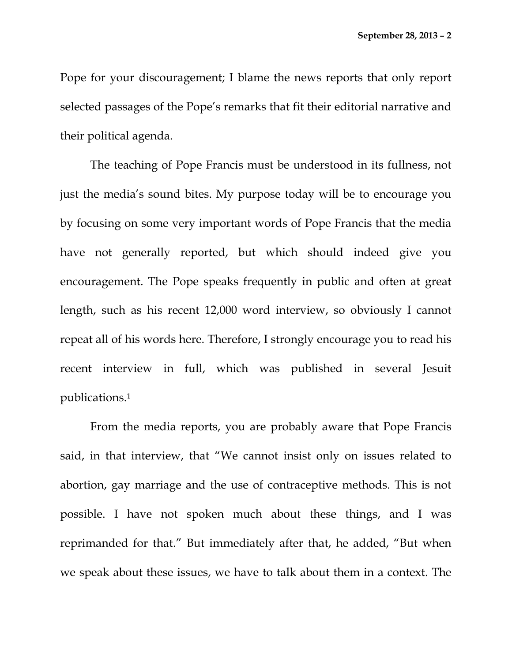Pope for your discouragement; I blame the news reports that only report selected passages of the Pope's remarks that fit their editorial narrative and their political agenda.

The teaching of Pope Francis must be understood in its fullness, not just the media's sound bites. My purpose today will be to encourage you by focusing on some very important words of Pope Francis that the media have not generally reported, but which should indeed give you encouragement. The Pope speaks frequently in public and often at great length, such as his recent 12,000 word interview, so obviously I cannot repeat all of his words here. Therefore, I strongly encourage you to read his recent interview in full, which was published in several Jesuit publications.1

From the media reports, you are probably aware that Pope Francis said, in that interview, that "We cannot insist only on issues related to abortion, gay marriage and the use of contraceptive methods. This is not possible. I have not spoken much about these things, and I was reprimanded for that." But immediately after that, he added, "But when we speak about these issues, we have to talk about them in a context. The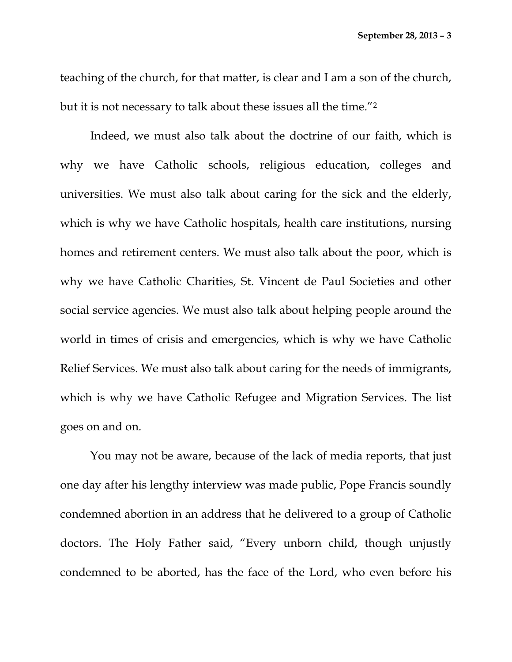teaching of the church, for that matter, is clear and I am a son of the church, but it is not necessary to talk about these issues all the time."2

Indeed, we must also talk about the doctrine of our faith, which is why we have Catholic schools, religious education, colleges and universities. We must also talk about caring for the sick and the elderly, which is why we have Catholic hospitals, health care institutions, nursing homes and retirement centers. We must also talk about the poor, which is why we have Catholic Charities, St. Vincent de Paul Societies and other social service agencies. We must also talk about helping people around the world in times of crisis and emergencies, which is why we have Catholic Relief Services. We must also talk about caring for the needs of immigrants, which is why we have Catholic Refugee and Migration Services. The list goes on and on.

You may not be aware, because of the lack of media reports, that just one day after his lengthy interview was made public, Pope Francis soundly condemned abortion in an address that he delivered to a group of Catholic doctors. The Holy Father said, "Every unborn child, though unjustly condemned to be aborted, has the face of the Lord, who even before his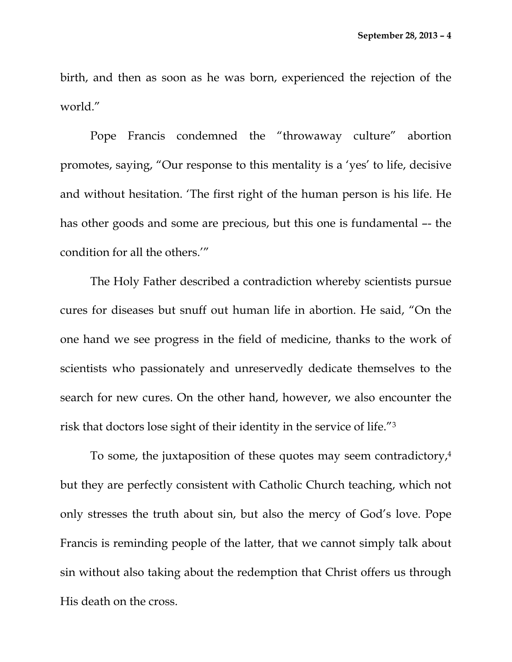birth, and then as soon as he was born, experienced the rejection of the world."

Pope Francis condemned the "throwaway culture" abortion promotes, saying, "Our response to this mentality is a 'yes' to life, decisive and without hesitation. 'The first right of the human person is his life. He has other goods and some are precious, but this one is fundamental –- the condition for all the others.'"

The Holy Father described a contradiction whereby scientists pursue cures for diseases but snuff out human life in abortion. He said, "On the one hand we see progress in the field of medicine, thanks to the work of scientists who passionately and unreservedly dedicate themselves to the search for new cures. On the other hand, however, we also encounter the risk that doctors lose sight of their identity in the service of life."3

To some, the juxtaposition of these quotes may seem contradictory,4 but they are perfectly consistent with Catholic Church teaching, which not only stresses the truth about sin, but also the mercy of God's love. Pope Francis is reminding people of the latter, that we cannot simply talk about sin without also taking about the redemption that Christ offers us through His death on the cross.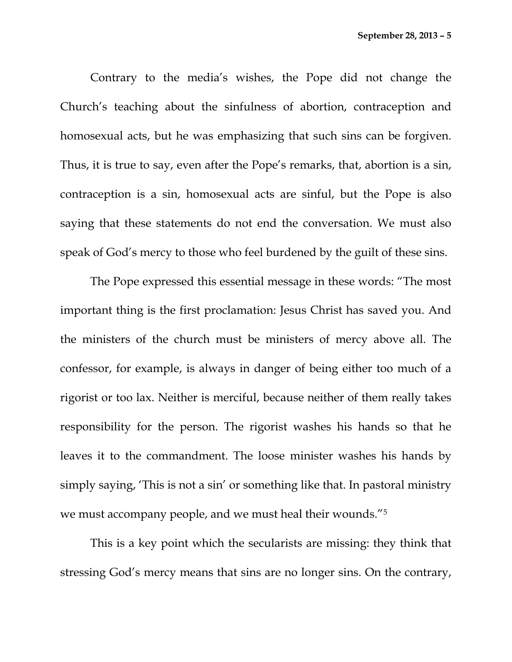Contrary to the media's wishes, the Pope did not change the Church's teaching about the sinfulness of abortion, contraception and homosexual acts, but he was emphasizing that such sins can be forgiven. Thus, it is true to say, even after the Pope's remarks, that, abortion is a sin, contraception is a sin, homosexual acts are sinful, but the Pope is also saying that these statements do not end the conversation. We must also speak of God's mercy to those who feel burdened by the guilt of these sins.

The Pope expressed this essential message in these words: "The most important thing is the first proclamation: Jesus Christ has saved you. And the ministers of the church must be ministers of mercy above all. The confessor, for example, is always in danger of being either too much of a rigorist or too lax. Neither is merciful, because neither of them really takes responsibility for the person. The rigorist washes his hands so that he leaves it to the commandment. The loose minister washes his hands by simply saying, 'This is not a sin' or something like that. In pastoral ministry we must accompany people, and we must heal their wounds."5

This is a key point which the secularists are missing: they think that stressing God's mercy means that sins are no longer sins. On the contrary,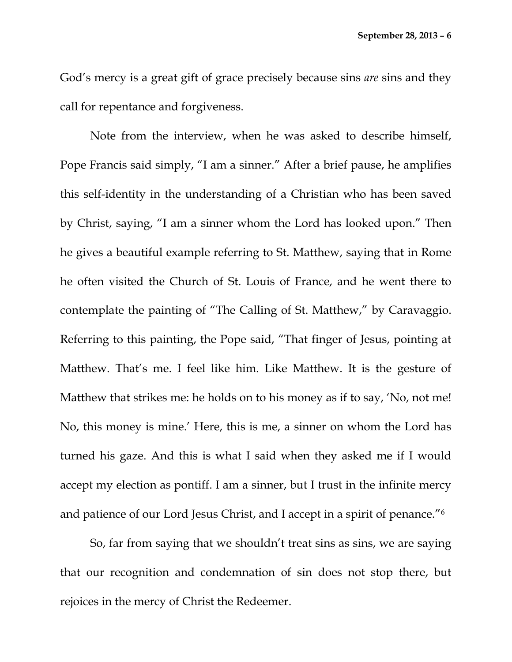God's mercy is a great gift of grace precisely because sins *are* sins and they call for repentance and forgiveness.

Note from the interview, when he was asked to describe himself, Pope Francis said simply, "I am a sinner." After a brief pause, he amplifies this self-identity in the understanding of a Christian who has been saved by Christ, saying, "I am a sinner whom the Lord has looked upon." Then he gives a beautiful example referring to St. Matthew, saying that in Rome he often visited the Church of St. Louis of France, and he went there to contemplate the painting of "The Calling of St. Matthew," by Caravaggio. Referring to this painting, the Pope said, "That finger of Jesus, pointing at Matthew. That's me. I feel like him. Like Matthew. It is the gesture of Matthew that strikes me: he holds on to his money as if to say, 'No, not me! No, this money is mine.' Here, this is me, a sinner on whom the Lord has turned his gaze. And this is what I said when they asked me if I would accept my election as pontiff. I am a sinner, but I trust in the infinite mercy and patience of our Lord Jesus Christ, and I accept in a spirit of penance."6

So, far from saying that we shouldn't treat sins as sins, we are saying that our recognition and condemnation of sin does not stop there, but rejoices in the mercy of Christ the Redeemer.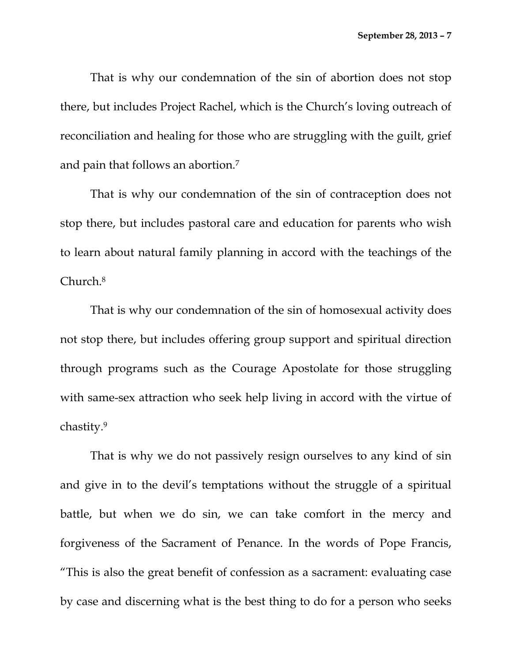That is why our condemnation of the sin of abortion does not stop there, but includes Project Rachel, which is the Church's loving outreach of reconciliation and healing for those who are struggling with the guilt, grief and pain that follows an abortion.7

That is why our condemnation of the sin of contraception does not stop there, but includes pastoral care and education for parents who wish to learn about natural family planning in accord with the teachings of the Church.8

That is why our condemnation of the sin of homosexual activity does not stop there, but includes offering group support and spiritual direction through programs such as the Courage Apostolate for those struggling with same-sex attraction who seek help living in accord with the virtue of chastity.9

That is why we do not passively resign ourselves to any kind of sin and give in to the devil's temptations without the struggle of a spiritual battle, but when we do sin, we can take comfort in the mercy and forgiveness of the Sacrament of Penance. In the words of Pope Francis, "This is also the great benefit of confession as a sacrament: evaluating case by case and discerning what is the best thing to do for a person who seeks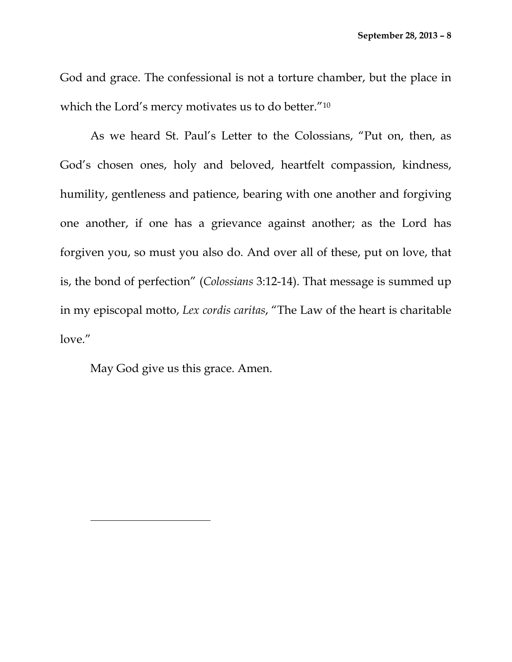God and grace. The confessional is not a torture chamber, but the place in which the Lord's mercy motivates us to do better."10

As we heard St. Paul's Letter to the Colossians, "Put on, then, as God's chosen ones, holy and beloved, heartfelt compassion, kindness, humility, gentleness and patience, bearing with one another and forgiving one another, if one has a grievance against another; as the Lord has forgiven you, so must you also do. And over all of these, put on love, that is, the bond of perfection" (*Colossians* 3:12-14). That message is summed up in my episcopal motto, *Lex cordis caritas*, "The Law of the heart is charitable love."

May God give us this grace. Amen.

 $\overline{a}$